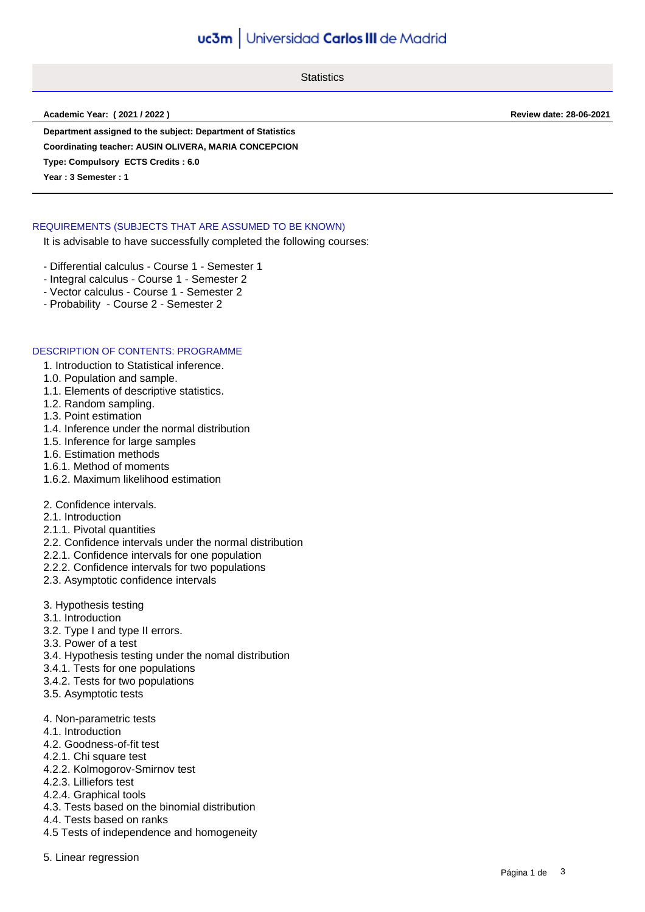# uc3m | Universidad Carlos III de Madrid

**Statistics** 

**Academic Year: ( 2021 / 2022 ) Review date: 28-06-2021**

**Department assigned to the subject: Department of Statistics**

**Coordinating teacher: AUSIN OLIVERA, MARIA CONCEPCION**

**Type: Compulsory ECTS Credits : 6.0**

**Year : 3 Semester : 1**

## REQUIREMENTS (SUBJECTS THAT ARE ASSUMED TO BE KNOWN)

It is advisable to have successfully completed the following courses:

- Differential calculus Course 1 Semester 1
- Integral calculus Course 1 Semester 2
- Vector calculus Course 1 Semester 2
- Probability Course 2 Semester 2

## DESCRIPTION OF CONTENTS: PROGRAMME

1. Introduction to Statistical inference.

- 1.0. Population and sample.
- 1.1. Elements of descriptive statistics.
- 1.2. Random sampling.
- 1.3. Point estimation
- 1.4. Inference under the normal distribution
- 1.5. Inference for large samples
- 1.6. Estimation methods
- 1.6.1. Method of moments
- 1.6.2. Maximum likelihood estimation
- 2. Confidence intervals.
- 2.1. Introduction
- 2.1.1. Pivotal quantities
- 2.2. Confidence intervals under the normal distribution
- 2.2.1. Confidence intervals for one population
- 2.2.2. Confidence intervals for two populations
- 2.3. Asymptotic confidence intervals
- 3. Hypothesis testing
- 3.1. Introduction
- 3.2. Type I and type II errors.
- 3.3. Power of a test
- 3.4. Hypothesis testing under the nomal distribution
- 3.4.1. Tests for one populations
- 3.4.2. Tests for two populations
- 3.5. Asymptotic tests
- 4. Non-parametric tests
- 4.1. Introduction
- 4.2. Goodness-of-fit test
- 4.2.1. Chi square test
- 4.2.2. Kolmogorov-Smirnov test
- 4.2.3. Lilliefors test
- 4.2.4. Graphical tools
- 4.3. Tests based on the binomial distribution
- 4.4. Tests based on ranks
- 4.5 Tests of independence and homogeneity
- 5. Linear regression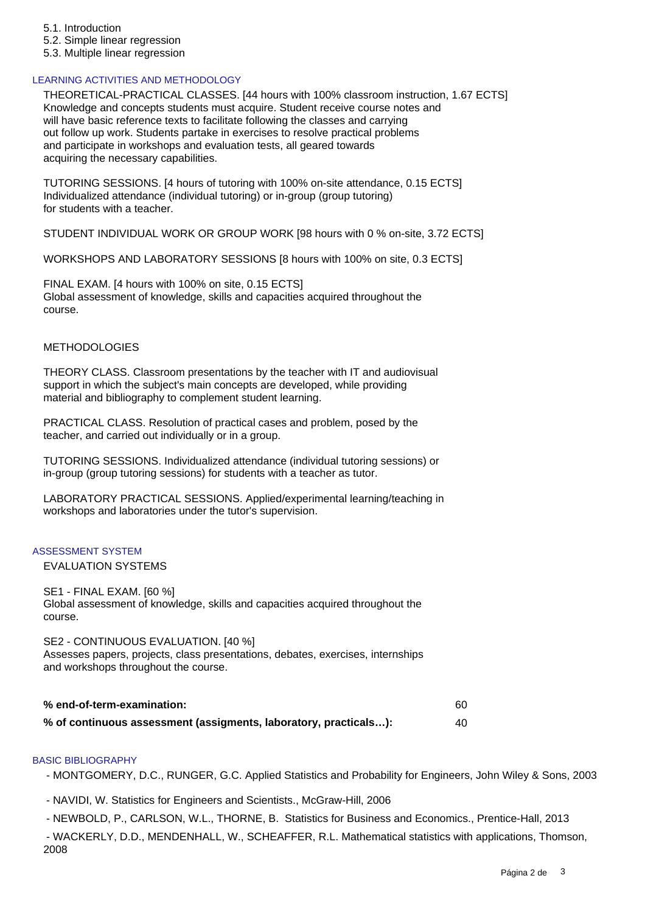- 5.1. Introduction
- 5.2. Simple linear regression
- 5.3. Multiple linear regression

#### LEARNING ACTIVITIES AND METHODOLOGY

THEORETICAL-PRACTICAL CLASSES. [44 hours with 100% classroom instruction, 1.67 ECTS] Knowledge and concepts students must acquire. Student receive course notes and will have basic reference texts to facilitate following the classes and carrying out follow up work. Students partake in exercises to resolve practical problems and participate in workshops and evaluation tests, all geared towards acquiring the necessary capabilities.

TUTORING SESSIONS. [4 hours of tutoring with 100% on-site attendance, 0.15 ECTS] Individualized attendance (individual tutoring) or in-group (group tutoring) for students with a teacher.

STUDENT INDIVIDUAL WORK OR GROUP WORK [98 hours with 0 % on-site, 3.72 ECTS]

WORKSHOPS AND LABORATORY SESSIONS [8 hours with 100% on site, 0.3 ECTS]

FINAL EXAM. [4 hours with 100% on site, 0.15 ECTS] Global assessment of knowledge, skills and capacities acquired throughout the course.

#### METHODOLOGIES

THEORY CLASS. Classroom presentations by the teacher with IT and audiovisual support in which the subject's main concepts are developed, while providing material and bibliography to complement student learning.

PRACTICAL CLASS. Resolution of practical cases and problem, posed by the teacher, and carried out individually or in a group.

TUTORING SESSIONS. Individualized attendance (individual tutoring sessions) or in-group (group tutoring sessions) for students with a teacher as tutor.

LABORATORY PRACTICAL SESSIONS. Applied/experimental learning/teaching in workshops and laboratories under the tutor's supervision.

#### ASSESSMENT SYSTEM

EVALUATION SYSTEMS

SE1 - FINAL EXAM. [60 %] Global assessment of knowledge, skills and capacities acquired throughout the course.

SE2 - CONTINUOUS EVALUATION. [40 %] Assesses papers, projects, class presentations, debates, exercises, internships and workshops throughout the course.

| % end-of-term-examination:                                       |     |
|------------------------------------------------------------------|-----|
| % of continuous assessment (assigments, laboratory, practicals): | -40 |

#### BASIC BIBLIOGRAPHY

- MONTGOMERY, D.C., RUNGER, G.C. Applied Statistics and Probability for Engineers, John Wiley & Sons, 2003

- NAVIDI, W. Statistics for Engineers and Scientists., McGraw-Hill, 2006

 - NEWBOLD, P., CARLSON, W.L., THORNE, B. Statistics for Business and Economics., Prentice-Hall, 2013 - WACKERLY, D.D., MENDENHALL, W., SCHEAFFER, R.L. Mathematical statistics with applications, Thomson, 2008